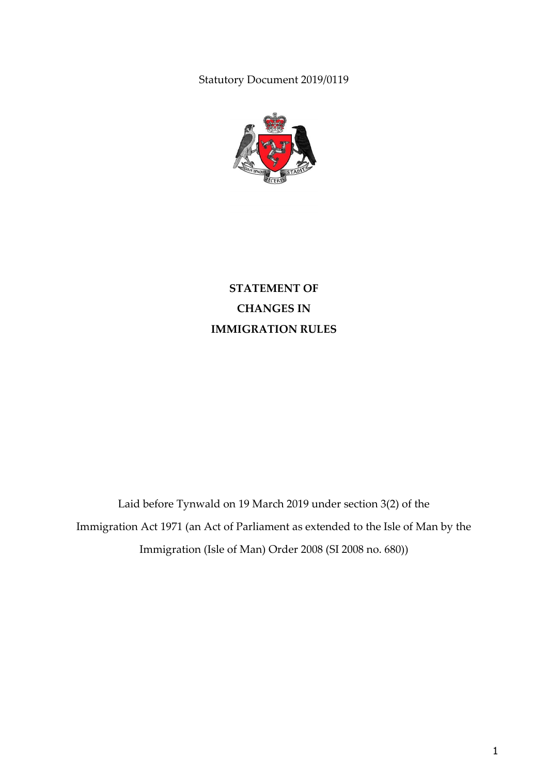Statutory Document 2019/0119



**STATEMENT OF CHANGES IN IMMIGRATION RULES**

Laid before Tynwald on 19 March 2019 under section 3(2) of the Immigration Act 1971 (an Act of Parliament as extended to the Isle of Man by the Immigration (Isle of Man) Order 2008 (SI 2008 no. 680))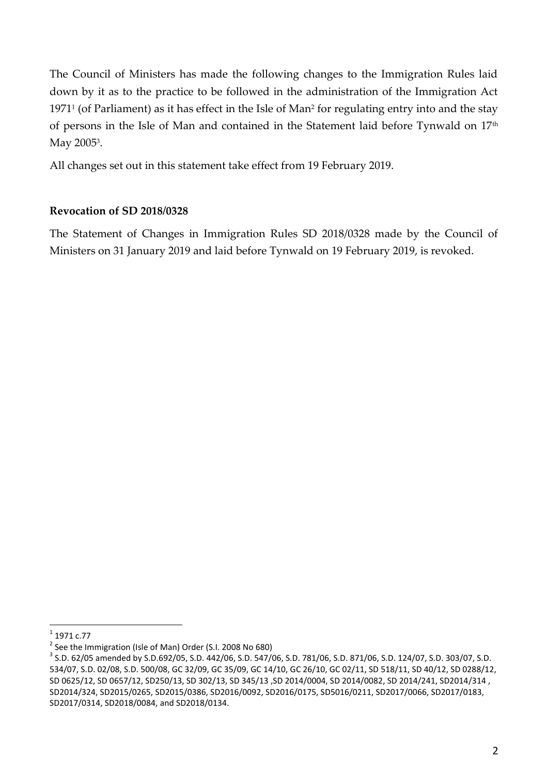The Council of Ministers has made the following changes to the Immigration Rules laid down by it as to the practice to be followed in the administration of the Immigration Act 1971<sup>1</sup> (of Parliament) as it has effect in the Isle of Man<sup>2</sup> for regulating entry into and the stay of persons in the Isle of Man and contained in the Statement laid before Tynwald on 17<sup>th</sup> May 2005<sup>3</sup>.

All changes set out in this statement take effect from 19 February 2019.

## **Revocation of SD 2018/0328**

The Statement of Changes in Immigration Rules SD 2018/0328 made by the Council of Ministers on 31 January 2019 and laid before Tynwald on 19 February 2019, is revoked.

 $\frac{1}{1}$ 1971 c.77

 $2$  See the Immigration (Isle of Man) Order (S.I. 2008 No 680)

<sup>3</sup> S.D. 62/05 amended by S.D.692/05, S.D. 442/06, S.D. 547/06, S.D. 781/06, S.D. 871/06, S.D. 124/07, S.D. 303/07, S.D. 534/07, S.D. 02/08, S.D. 500/08, GC 32/09, GC 35/09, GC 14/10, GC 26/10, GC 02/11, SD 518/11, SD 40/12, SD 0288/12, SD 0625/12, SD 0657/12, SD250/13, SD 302/13, SD 345/13 ,SD 2014/0004, SD 2014/0082, SD 2014/241, SD2014/314 , SD2014/324, SD2015/0265, SD2015/0386, SD2016/0092, SD2016/0175, SD5016/0211, SD2017/0066, SD2017/0183, SD2017/0314, SD2018/0084, and SD2018/0134.